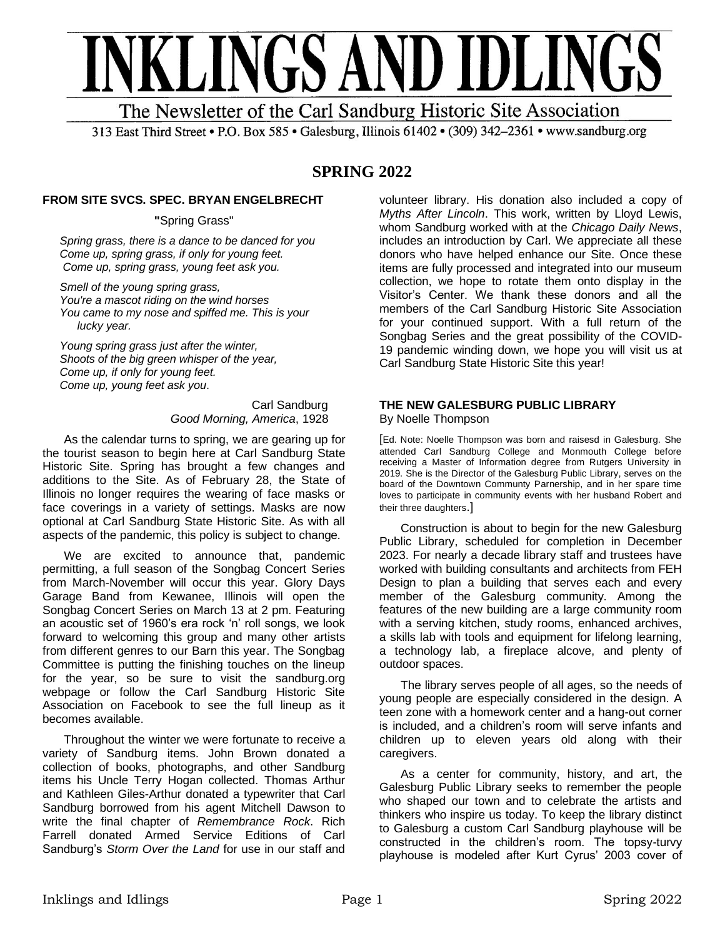

The Newsletter of the Carl Sandburg Historic Site Association

313 East Third Street • P.O. Box 585 • Galesburg, Illinois 61402 • (309) 342-2361 • www.sandburg.org

# **SPRING 2022**

### **FROM SITE SVCS. SPEC. BRYAN ENGELBRECHT**

**"**Spring Grass"

*Spring grass, there is a dance to be danced for you Come up, spring grass, if only for young feet. Come up, spring grass, young feet ask you.*

*Smell of the young spring grass, You're a mascot riding on the wind horses You came to my nose and spiffed me. This is your …..lucky year.*

*Young spring grass just after the winter, Shoots of the big green whisper of the year, Come up, if only for young feet. Come up, young feet ask you*.

> Carl Sandburg *Good Morning, America*, 1928

As the calendar turns to spring, we are gearing up for the tourist season to begin here at Carl Sandburg State Historic Site. Spring has brought a few changes and additions to the Site. As of February 28, the State of Illinois no longer requires the wearing of face masks or face coverings in a variety of settings. Masks are now optional at Carl Sandburg State Historic Site. As with all aspects of the pandemic, this policy is subject to change.

We are excited to announce that, pandemic permitting, a full season of the Songbag Concert Series from March-November will occur this year. Glory Days Garage Band from Kewanee, Illinois will open the Songbag Concert Series on March 13 at 2 pm. Featuring an acoustic set of 1960's era rock 'n' roll songs, we look forward to welcoming this group and many other artists from different genres to our Barn this year. The Songbag Committee is putting the finishing touches on the lineup for the year, so be sure to visit the sandburg.org webpage or follow the Carl Sandburg Historic Site Association on Facebook to see the full lineup as it becomes available.

Throughout the winter we were fortunate to receive a variety of Sandburg items. John Brown donated a collection of books, photographs, and other Sandburg items his Uncle Terry Hogan collected. Thomas Arthur and Kathleen Giles-Arthur donated a typewriter that Carl Sandburg borrowed from his agent Mitchell Dawson to write the final chapter of *Remembrance Rock*. Rich Farrell donated Armed Service Editions of Carl Sandburg's *Storm Over the Land* for use in our staff and

volunteer library. His donation also included a copy of *Myths After Lincoln*. This work, written by Lloyd Lewis, whom Sandburg worked with at the *Chicago Daily News*, includes an introduction by Carl. We appreciate all these donors who have helped enhance our Site. Once these items are fully processed and integrated into our museum collection, we hope to rotate them onto display in the Visitor's Center. We thank these donors and all the members of the Carl Sandburg Historic Site Association for your continued support. With a full return of the Songbag Series and the great possibility of the COVID-19 pandemic winding down, we hope you will visit us at Carl Sandburg State Historic Site this year!

#### **THE NEW GALESBURG PUBLIC LIBRARY**  By Noelle Thompson

[Ed. Note: Noelle Thompson was born and raisesd in Galesburg. She attended Carl Sandburg College and Monmouth College before receiving a Master of Information degree from Rutgers University in 2019. She is the Director of the Galesburg Public Library, serves on the board of the Downtown Communty Parnership, and in her spare time loves to participate in community events with her husband Robert and their three daughters.]

Construction is about to begin for the new Galesburg Public Library, scheduled for completion in December 2023. For nearly a decade library staff and trustees have worked with building consultants and architects from FEH Design to plan a building that serves each and every member of the Galesburg community. Among the features of the new building are a large community room with a serving kitchen, study rooms, enhanced archives, a skills lab with tools and equipment for lifelong learning, a technology lab, a fireplace alcove, and plenty of outdoor spaces.

The library serves people of all ages, so the needs of young people are especially considered in the design. A teen zone with a homework center and a hang-out corner is included, and a children's room will serve infants and children up to eleven years old along with their caregivers.

As a center for community, history, and art, the Galesburg Public Library seeks to remember the people who shaped our town and to celebrate the artists and thinkers who inspire us today. To keep the library distinct to Galesburg a custom Carl Sandburg playhouse will be constructed in the children's room. The topsy-turvy playhouse is modeled after Kurt Cyrus' 2003 cover of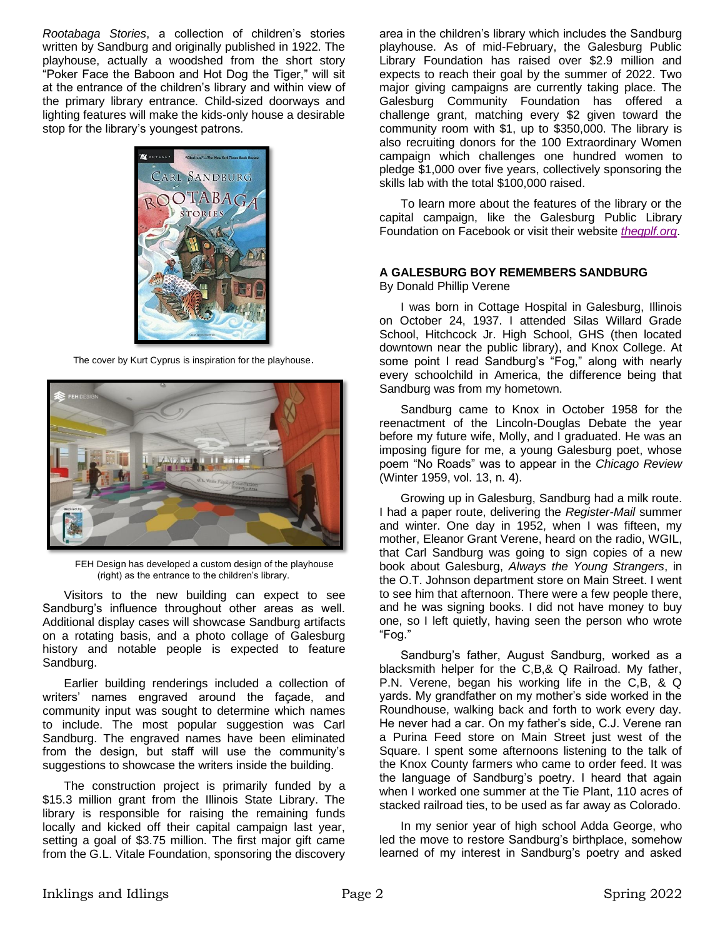*Rootabaga Stories*, a collection of children's stories written by Sandburg and originally published in 1922. The playhouse, actually a woodshed from the short story "Poker Face the Baboon and Hot Dog the Tiger," will sit at the entrance of the children's library and within view of the primary library entrance. Child-sized doorways and lighting features will make the kids-only house a desirable stop for the library's youngest patrons.



The cover by Kurt Cyprus is inspiration for the playhouse.



FEH Design has developed a custom design of the playhouse (right) as the entrance to the children's library.

Visitors to the new building can expect to see Sandburg's influence throughout other areas as well. Additional display cases will showcase Sandburg artifacts on a rotating basis, and a photo collage of Galesburg history and notable people is expected to feature Sandburg.

Earlier building renderings included a collection of writers' names engraved around the façade, and community input was sought to determine which names to include. The most popular suggestion was Carl Sandburg. The engraved names have been eliminated from the design, but staff will use the community's suggestions to showcase the writers inside the building.

The construction project is primarily funded by a \$15.3 million grant from the Illinois State Library. The library is responsible for raising the remaining funds locally and kicked off their capital campaign last year, setting a goal of \$3.75 million. The first major gift came from the G.L. Vitale Foundation, sponsoring the discovery area in the children's library which includes the Sandburg playhouse. As of mid-February, the Galesburg Public Library Foundation has raised over \$2.9 million and expects to reach their goal by the summer of 2022. Two major giving campaigns are currently taking place. The Galesburg Community Foundation has offered a challenge grant, matching every \$2 given toward the community room with \$1, up to \$350,000. The library is also recruiting donors for the 100 Extraordinary Women campaign which challenges one hundred women to pledge \$1,000 over five years, collectively sponsoring the skills lab with the total \$100,000 raised.

To learn more about the features of the library or the capital campaign, like the Galesburg Public Library Foundation on Facebook or visit their website *[thegplf.org](https://thegplf.org/)*.

# **A GALESBURG BOY REMEMBERS SANDBURG**

By Donald Phillip Verene

I was born in Cottage Hospital in Galesburg, Illinois on October 24, 1937. I attended Silas Willard Grade School, Hitchcock Jr. High School, GHS (then located downtown near the public library), and Knox College. At some point I read Sandburg's "Fog," along with nearly every schoolchild in America, the difference being that Sandburg was from my hometown.

Sandburg came to Knox in October 1958 for the reenactment of the Lincoln-Douglas Debate the year before my future wife, Molly, and I graduated. He was an imposing figure for me, a young Galesburg poet, whose poem "No Roads" was to appear in the *Chicago Review* (Winter 1959, vol. 13, n. 4).

Growing up in Galesburg, Sandburg had a milk route. I had a paper route, delivering the *Register-Mail* summer and winter. One day in 1952, when I was fifteen, my mother, Eleanor Grant Verene, heard on the radio, WGIL, that Carl Sandburg was going to sign copies of a new book about Galesburg, *Always the Young Strangers*, in the O.T. Johnson department store on Main Street. I went to see him that afternoon. There were a few people there, and he was signing books. I did not have money to buy one, so I left quietly, having seen the person who wrote "Fog."

Sandburg's father, August Sandburg, worked as a blacksmith helper for the C,B,& Q Railroad. My father, P.N. Verene, began his working life in the C,B, & Q yards. My grandfather on my mother's side worked in the Roundhouse, walking back and forth to work every day. He never had a car. On my father's side, C.J. Verene ran a Purina Feed store on Main Street just west of the Square. I spent some afternoons listening to the talk of the Knox County farmers who came to order feed. It was the language of Sandburg's poetry. I heard that again when I worked one summer at the Tie Plant, 110 acres of stacked railroad ties, to be used as far away as Colorado.

In my senior year of high school Adda George, who led the move to restore Sandburg's birthplace, somehow learned of my interest in Sandburg's poetry and asked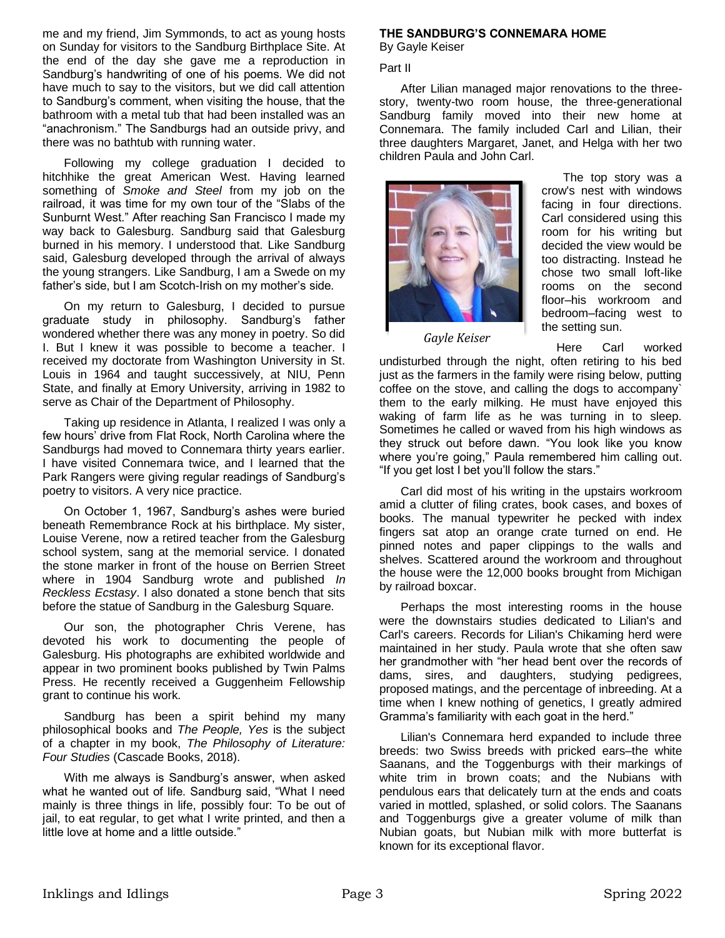me and my friend, Jim Symmonds, to act as young hosts on Sunday for visitors to the Sandburg Birthplace Site. At the end of the day she gave me a reproduction in Sandburg's handwriting of one of his poems. We did not have much to say to the visitors, but we did call attention to Sandburg's comment, when visiting the house, that the bathroom with a metal tub that had been installed was an "anachronism." The Sandburgs had an outside privy, and there was no bathtub with running water.

Following my college graduation I decided to hitchhike the great American West. Having learned something of *Smoke and Steel* from my job on the railroad, it was time for my own tour of the "Slabs of the Sunburnt West." After reaching San Francisco I made my way back to Galesburg. Sandburg said that Galesburg burned in his memory. I understood that. Like Sandburg said, Galesburg developed through the arrival of always the young strangers. Like Sandburg, I am a Swede on my father's side, but I am Scotch-Irish on my mother's side.

On my return to Galesburg, I decided to pursue graduate study in philosophy. Sandburg's father wondered whether there was any money in poetry. So did I. But I knew it was possible to become a teacher. I received my doctorate from Washington University in St. Louis in 1964 and taught successively, at NIU, Penn State, and finally at Emory University, arriving in 1982 to serve as Chair of the Department of Philosophy.

Taking up residence in Atlanta, I realized I was only a few hours' drive from Flat Rock, North Carolina where the Sandburgs had moved to Connemara thirty years earlier. I have visited Connemara twice, and I learned that the Park Rangers were giving regular readings of Sandburg's poetry to visitors. A very nice practice.

On October 1, 1967, Sandburg's ashes were buried beneath Remembrance Rock at his birthplace. My sister, Louise Verene, now a retired teacher from the Galesburg school system, sang at the memorial service. I donated the stone marker in front of the house on Berrien Street where in 1904 Sandburg wrote and published *In Reckless Ecstasy*. I also donated a stone bench that sits before the statue of Sandburg in the Galesburg Square.

Our son, the photographer Chris Verene, has devoted his work to documenting the people of Galesburg. His photographs are exhibited worldwide and appear in two prominent books published by Twin Palms Press. He recently received a Guggenheim Fellowship grant to continue his work.

Sandburg has been a spirit behind my many philosophical books and *The People, Yes* is the subject of a chapter in my book, *The Philosophy of Literature: Four Studies* (Cascade Books, 2018).

With me always is Sandburg's answer, when asked what he wanted out of life. Sandburg said, "What I need mainly is three things in life, possibly four: To be out of jail, to eat regular, to get what I write printed, and then a little love at home and a little outside."

# **THE SANDBURG'S CONNEMARA HOME**

By Gayle Keiser

### Part II

After Lilian managed major renovations to the threestory, twenty-two room house, the three-generational Sandburg family moved into their new home at Connemara. The family included Carl and Lilian, their three daughters Margaret, Janet, and Helga with her two children Paula and John Carl.



*Gayle Keiser*

The top story was a crow's nest with windows facing in four directions. Carl considered using this room for his writing but decided the view would be too distracting. Instead he chose two small loft-like rooms on the second floor–his workroom and bedroom–facing west to the setting sun.

Here Carl worked

undisturbed through the night, often retiring to his bed just as the farmers in the family were rising below, putting coffee on the stove, and calling the dogs to accompany` them to the early milking. He must have enjoyed this waking of farm life as he was turning in to sleep. Sometimes he called or waved from his high windows as they struck out before dawn. "You look like you know where you're going," Paula remembered him calling out. "If you get lost I bet you'll follow the stars."

Carl did most of his writing in the upstairs workroom amid a clutter of filing crates, book cases, and boxes of books. The manual typewriter he pecked with index fingers sat atop an orange crate turned on end. He pinned notes and paper clippings to the walls and shelves. Scattered around the workroom and throughout the house were the 12,000 books brought from Michigan by railroad boxcar.

Perhaps the most interesting rooms in the house were the downstairs studies dedicated to Lilian's and Carl's careers. Records for Lilian's Chikaming herd were maintained in her study. Paula wrote that she often saw her grandmother with "her head bent over the records of dams, sires, and daughters, studying pedigrees, proposed matings, and the percentage of inbreeding. At a time when I knew nothing of genetics, I greatly admired Gramma's familiarity with each goat in the herd."

Lilian's Connemara herd expanded to include three breeds: two Swiss breeds with pricked ears–the white Saanans, and the Toggenburgs with their markings of white trim in brown coats; and the Nubians with pendulous ears that delicately turn at the ends and coats varied in mottled, splashed, or solid colors. The Saanans and Toggenburgs give a greater volume of milk than Nubian goats, but Nubian milk with more butterfat is known for its exceptional flavor.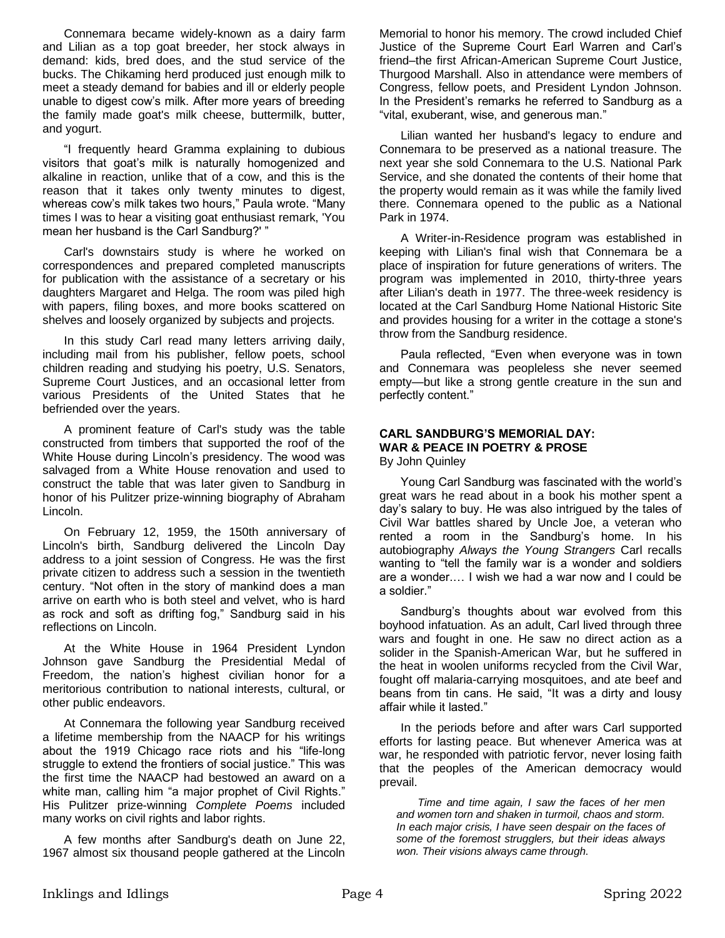Connemara became widely-known as a dairy farm and Lilian as a top goat breeder, her stock always in demand: kids, bred does, and the stud service of the bucks. The Chikaming herd produced just enough milk to meet a steady demand for babies and ill or elderly people unable to digest cow's milk. After more years of breeding the family made goat's milk cheese, buttermilk, butter, and yogurt.

"I frequently heard Gramma explaining to dubious visitors that goat's milk is naturally homogenized and alkaline in reaction, unlike that of a cow, and this is the reason that it takes only twenty minutes to digest, whereas cow's milk takes two hours," Paula wrote. "Many times I was to hear a visiting goat enthusiast remark, 'You mean her husband is the Carl Sandburg?' "

Carl's downstairs study is where he worked on correspondences and prepared completed manuscripts for publication with the assistance of a secretary or his daughters Margaret and Helga. The room was piled high with papers, filing boxes, and more books scattered on shelves and loosely organized by subjects and projects.

In this study Carl read many letters arriving daily, including mail from his publisher, fellow poets, school children reading and studying his poetry, U.S. Senators, Supreme Court Justices, and an occasional letter from various Presidents of the United States that he befriended over the years.

A prominent feature of Carl's study was the table constructed from timbers that supported the roof of the White House during Lincoln's presidency. The wood was salvaged from a White House renovation and used to construct the table that was later given to Sandburg in honor of his Pulitzer prize-winning biography of Abraham Lincoln.

On February 12, 1959, the 150th anniversary of Lincoln's birth, Sandburg delivered the Lincoln Day address to a joint session of Congress. He was the first private citizen to address such a session in the twentieth century. "Not often in the story of mankind does a man arrive on earth who is both steel and velvet, who is hard as rock and soft as drifting fog," Sandburg said in his reflections on Lincoln.

At the White House in 1964 President Lyndon Johnson gave Sandburg the Presidential Medal of Freedom, the nation's highest civilian honor for a meritorious contribution to national interests, cultural, or other public endeavors.

At Connemara the following year Sandburg received a lifetime membership from the NAACP for his writings about the 1919 Chicago race riots and his "life-long struggle to extend the frontiers of social justice." This was the first time the NAACP had bestowed an award on a white man, calling him "a major prophet of Civil Rights." His Pulitzer prize-winning *Complete Poems* included many works on civil rights and labor rights.

A few months after Sandburg's death on June 22, 1967 almost six thousand people gathered at the Lincoln Memorial to honor his memory. The crowd included Chief Justice of the Supreme Court Earl Warren and Carl's friend–the first African-American Supreme Court Justice, Thurgood Marshall. Also in attendance were members of Congress, fellow poets, and President Lyndon Johnson. In the President's remarks he referred to Sandburg as a "vital, exuberant, wise, and generous man."

Lilian wanted her husband's legacy to endure and Connemara to be preserved as a national treasure. The next year she sold Connemara to the U.S. National Park Service, and she donated the contents of their home that the property would remain as it was while the family lived there. Connemara opened to the public as a National Park in 1974.

A Writer-in-Residence program was established in keeping with Lilian's final wish that Connemara be a place of inspiration for future generations of writers. The program was implemented in 2010, thirty-three years after Lilian's death in 1977. The three-week residency is located at the Carl Sandburg Home National Historic Site and provides housing for a writer in the cottage a stone's throw from the Sandburg residence.

Paula reflected, "Even when everyone was in town and Connemara was peopleless she never seemed empty—but like a strong gentle creature in the sun and perfectly content."

# **CARL SANDBURG'S MEMORIAL DAY: WAR & PEACE IN POETRY & PROSE**

By John Quinley

Young Carl Sandburg was fascinated with the world's great wars he read about in a book his mother spent a day's salary to buy. He was also intrigued by the tales of Civil War battles shared by Uncle Joe, a veteran who rented a room in the Sandburg's home. In his autobiography *Always the Young Strangers* Carl recalls wanting to "tell the family war is a wonder and soldiers are a wonder.… I wish we had a war now and I could be a soldier."

Sandburg's thoughts about war evolved from this boyhood infatuation. As an adult, Carl lived through three wars and fought in one. He saw no direct action as a solider in the Spanish-American War, but he suffered in the heat in woolen uniforms recycled from the Civil War, fought off malaria-carrying mosquitoes, and ate beef and beans from tin cans. He said, "It was a dirty and lousy affair while it lasted."

In the periods before and after wars Carl supported efforts for lasting peace. But whenever America was at war, he responded with patriotic fervor, never losing faith that the peoples of the American democracy would prevail.

*Time and time again, I saw the faces of her men and women torn and shaken in turmoil, chaos and storm. In each major crisis, I have seen despair on the faces of some of the foremost strugglers, but their ideas always won. Their visions always came through*.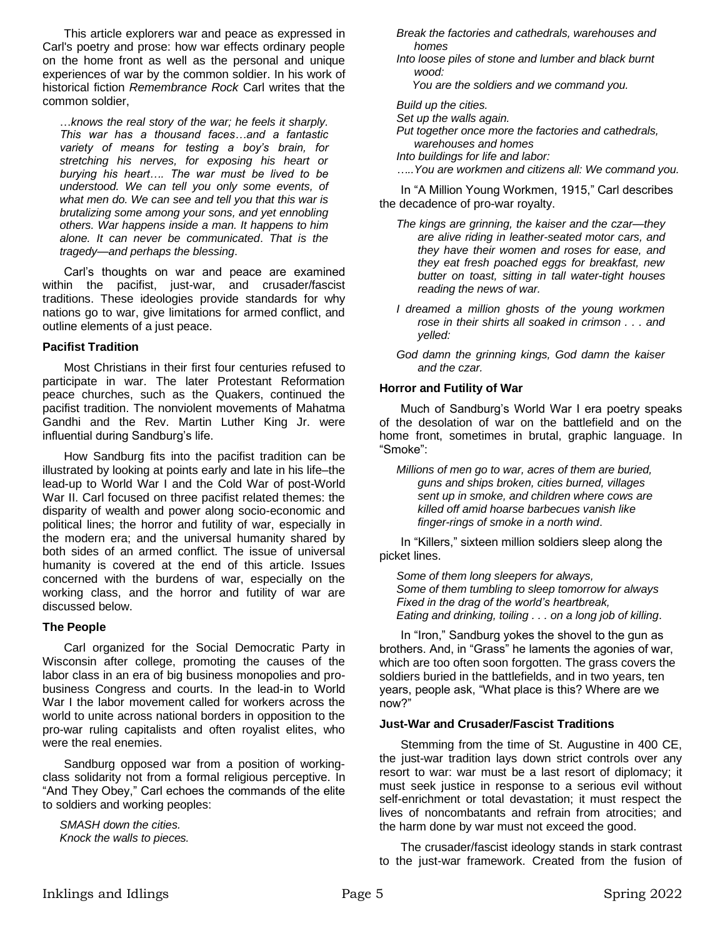This article explorers war and peace as expressed in Carl's poetry and prose: how war effects ordinary people on the home front as well as the personal and unique experiences of war by the common soldier. In his work of historical fiction *Remembrance Rock* Carl writes that the common soldier,

…*knows the real story of the war; he feels it sharply. This war has a thousand faces…and a fantastic variety of means for testing a boy's brain, for stretching his nerves, for exposing his heart or burying his heart…. The war must be lived to be understood. We can tell you only some events, of what men do. We can see and tell you that this war is brutalizing some among your sons, and yet ennobling others. War happens inside a man. It happens to him alone. It can never be communicated*. *That is the tragedy—and perhaps the blessing*.

Carl's thoughts on war and peace are examined within the pacifist, just-war, and crusader/fascist traditions. These ideologies provide standards for why nations go to war, give limitations for armed conflict, and outline elements of a just peace.

### **Pacifist Tradition**

Most Christians in their first four centuries refused to participate in war. The later Protestant Reformation peace churches, such as the Quakers, continued the pacifist tradition. The nonviolent movements of Mahatma Gandhi and the Rev. Martin Luther King Jr. were influential during Sandburg's life.

How Sandburg fits into the pacifist tradition can be illustrated by looking at points early and late in his life–the lead-up to World War I and the Cold War of post-World War II. Carl focused on three pacifist related themes: the disparity of wealth and power along socio-economic and political lines; the horror and futility of war, especially in the modern era; and the universal humanity shared by both sides of an armed conflict. The issue of universal humanity is covered at the end of this article. Issues concerned with the burdens of war, especially on the working class, and the horror and futility of war are discussed below.

### **The People**

Carl organized for the Social Democratic Party in Wisconsin after college, promoting the causes of the labor class in an era of big business monopolies and probusiness Congress and courts. In the lead-in to World War I the labor movement called for workers across the world to unite across national borders in opposition to the pro-war ruling capitalists and often royalist elites, who were the real enemies.

Sandburg opposed war from a position of workingclass solidarity not from a formal religious perceptive. In "And They Obey," Carl echoes the commands of the elite to soldiers and working peoples:

*SMASH down the cities. Knock the walls to pieces.* *Break the factories and cathedrals, warehouses and …..homes*

*Into loose piles of stone and lumber and black burnt …..wood:*

 *You are the soldiers and we command you.*

*Build up the cities. Set up the walls again. Put together once more the factories and cathedrals, …..warehouses and homes Into buildings for life and labor: …..You are workmen and citizens all: We command you.*

In "A Million Young Workmen, 1915," Carl describes the decadence of pro-war royalty.

- *The kings are grinning, the kaiser and the czar—they are alive riding in leather-seated motor cars, and they have their women and roses for ease, and they eat fresh poached eggs for breakfast, new butter on toast, sitting in tall water-tight houses reading the news of war.*
- *I* dreamed a million ghosts of the young workmen *rose in their shirts all soaked in crimson . . . and yelled:*
- *God damn the grinning kings, God damn the kaiser and the czar.*

### **Horror and Futility of War**

Much of Sandburg's World War I era poetry speaks of the desolation of war on the battlefield and on the home front, sometimes in brutal, graphic language. In "Smoke":

*Millions of men go to war, acres of them are buried, guns and ships broken, cities burned, villages sent up in smoke, and children where cows are killed off amid hoarse barbecues vanish like finger-rings of smoke in a north wind*.

In "Killers," sixteen million soldiers sleep along the picket lines.

*Some of them long sleepers for always, Some of them tumbling to sleep tomorrow for always Fixed in the drag of the world's heartbreak, Eating and drinking, toiling . . . on a long job of killing*.

In "Iron," Sandburg yokes the shovel to the gun as brothers. And, in "Grass" he laments the agonies of war, which are too often soon forgotten. The grass covers the soldiers buried in the battlefields, and in two years, ten years, people ask, "What place is this? Where are we now?"

#### **Just-War and Crusader/Fascist Traditions**

Stemming from the time of St. Augustine in 400 CE, the just-war tradition lays down strict controls over any resort to war: war must be a last resort of diplomacy; it must seek justice in response to a serious evil without self-enrichment or total devastation; it must respect the lives of noncombatants and refrain from atrocities; and the harm done by war must not exceed the good.

The crusader/fascist ideology stands in stark contrast to the just-war framework. Created from the fusion of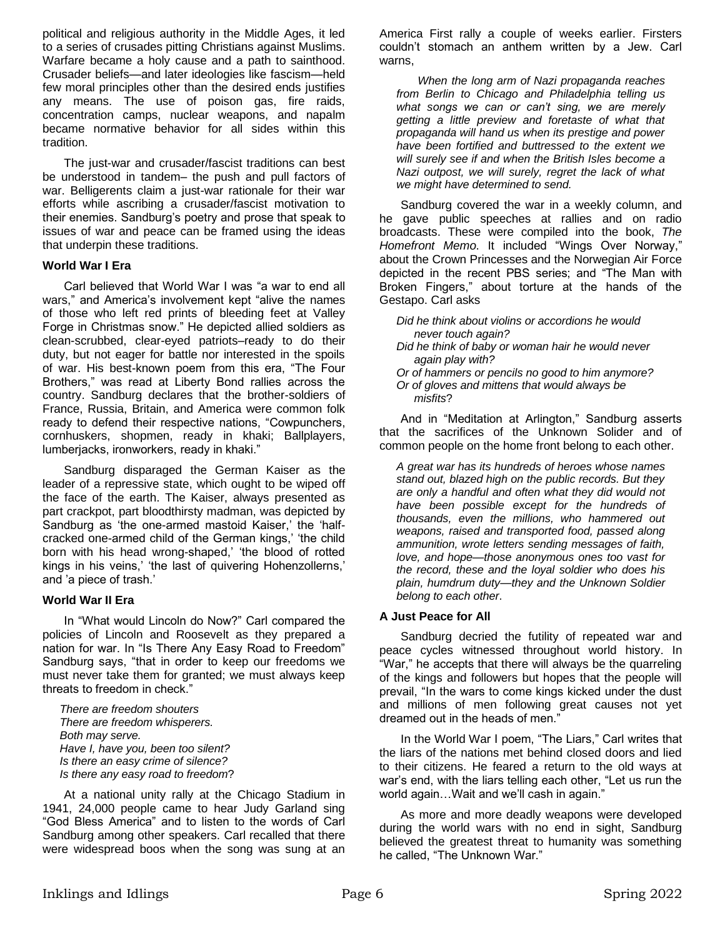political and religious authority in the Middle Ages, it led to a series of crusades pitting Christians against Muslims. Warfare became a holy cause and a path to sainthood. Crusader beliefs—and later ideologies like fascism—held few moral principles other than the desired ends justifies any means. The use of poison gas, fire raids, concentration camps, nuclear weapons, and napalm became normative behavior for all sides within this tradition.

The just-war and crusader/fascist traditions can best be understood in tandem– the push and pull factors of war. Belligerents claim a just-war rationale for their war efforts while ascribing a crusader/fascist motivation to their enemies. Sandburg's poetry and prose that speak to issues of war and peace can be framed using the ideas that underpin these traditions.

### **World War I Era**

Carl believed that World War I was "a war to end all wars," and America's involvement kept "alive the names of those who left red prints of bleeding feet at Valley Forge in Christmas snow." He depicted allied soldiers as clean-scrubbed, clear-eyed patriots–ready to do their duty, but not eager for battle nor interested in the spoils of war. His best-known poem from this era, "The Four Brothers," was read at Liberty Bond rallies across the country. Sandburg declares that the brother-soldiers of France, Russia, Britain, and America were common folk ready to defend their respective nations, "Cowpunchers, cornhuskers, shopmen, ready in khaki; Ballplayers, lumberjacks, ironworkers, ready in khaki."

Sandburg disparaged the German Kaiser as the leader of a repressive state, which ought to be wiped off the face of the earth. The Kaiser, always presented as part crackpot, part bloodthirsty madman, was depicted by Sandburg as 'the one-armed mastoid Kaiser,' the 'halfcracked one-armed child of the German kings,' 'the child born with his head wrong-shaped,' 'the blood of rotted kings in his veins,' 'the last of quivering Hohenzollerns,' and 'a piece of trash.'

### **World War II Era**

In "What would Lincoln do Now?" Carl compared the policies of Lincoln and Roosevelt as they prepared a nation for war. In "Is There Any Easy Road to Freedom" Sandburg says, "that in order to keep our freedoms we must never take them for granted; we must always keep threats to freedom in check."

*There are freedom shouters There are freedom whisperers. Both may serve. Have I, have you, been too silent? Is there an easy crime of silence? Is there any easy road to freedom*?

At a national unity rally at the Chicago Stadium in 1941, 24,000 people came to hear Judy Garland sing "God Bless America" and to listen to the words of Carl Sandburg among other speakers. Carl recalled that there were widespread boos when the song was sung at an

America First rally a couple of weeks earlier. Firsters couldn't stomach an anthem written by a Jew. Carl warns,

*When the long arm of Nazi propaganda reaches from Berlin to Chicago and Philadelphia telling us what songs we can or can't sing, we are merely getting a little preview and foretaste of what that propaganda will hand us when its prestige and power have been fortified and buttressed to the extent we will surely see if and when the British Isles become a Nazi outpost, we will surely, regret the lack of what we might have determined to send.*

Sandburg covered the war in a weekly column, and he gave public speeches at rallies and on radio broadcasts. These were compiled into the book, *The Homefront Memo*. It included "Wings Over Norway," about the Crown Princesses and the Norwegian Air Force depicted in the recent PBS series; and "The Man with Broken Fingers," about torture at the hands of the Gestapo. Carl asks

*Did he think about violins or accordions he would …..never touch again?*

- *Did he think of baby or woman hair he would never …..again play with?*
- *Or of hammers or pencils no good to him anymore? Or of gloves and mittens that would always be …..misfits*?

And in "Meditation at Arlington," Sandburg asserts that the sacrifices of the Unknown Solider and of common people on the home front belong to each other.

*A great war has its hundreds of heroes whose names stand out, blazed high on the public records. But they are only a handful and often what they did would not have been possible except for the hundreds of thousands, even the millions, who hammered out weapons, raised and transported food, passed along ammunition, wrote letters sending messages of faith, love, and hope—those anonymous ones too vast for the record, these and the loyal soldier who does his plain, humdrum duty—they and the Unknown Soldier belong to each other*.

## **A Just Peace for All**

Sandburg decried the futility of repeated war and peace cycles witnessed throughout world history. In "War," he accepts that there will always be the quarreling of the kings and followers but hopes that the people will prevail, "In the wars to come kings kicked under the dust and millions of men following great causes not yet dreamed out in the heads of men."

In the World War I poem, "The Liars," Carl writes that the liars of the nations met behind closed doors and lied to their citizens. He feared a return to the old ways at war's end, with the liars telling each other, "Let us run the world again…Wait and we'll cash in again."

As more and more deadly weapons were developed during the world wars with no end in sight, Sandburg believed the greatest threat to humanity was something he called, "The Unknown War."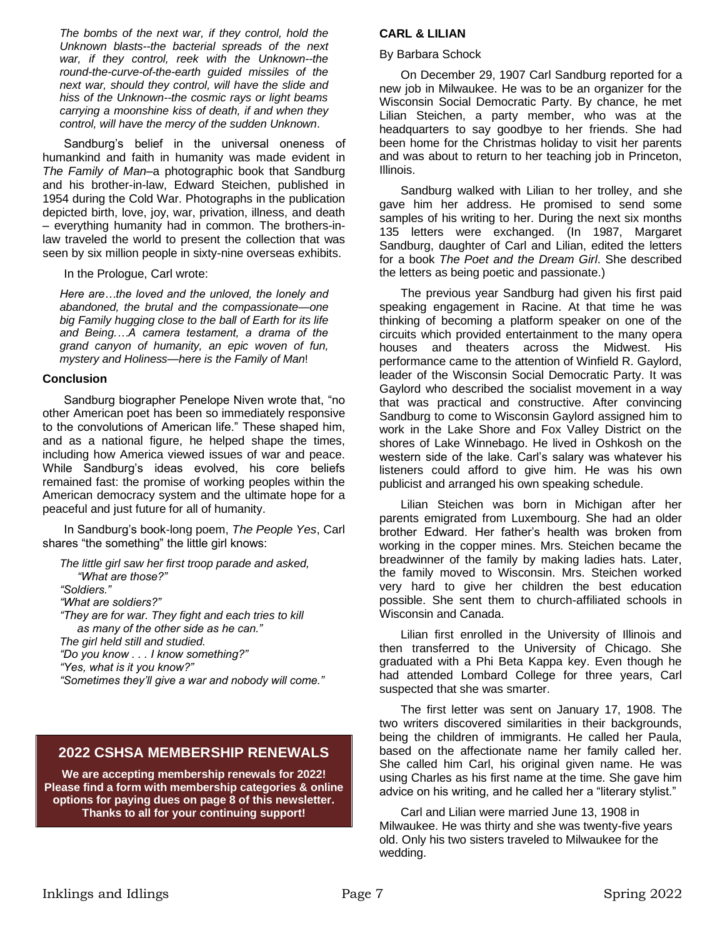*The bombs of the next war, if they control, hold the Unknown blasts--the bacterial spreads of the next war, if they control, reek with the Unknown--the round-the-curve-of-the-earth guided missiles of the next war, should they control, will have the slide and hiss of the Unknown--the cosmic rays or light beams carrying a moonshine kiss of death, if and when they control, will have the mercy of the sudden Unknown*.

Sandburg's belief in the universal oneness of humankind and faith in humanity was made evident in *The Family of Man*–a photographic book that Sandburg and his brother-in-law, Edward Steichen, published in 1954 during the Cold War. Photographs in the publication depicted birth, love, joy, war, privation, illness, and death – everything humanity had in common. The brothers-inlaw traveled the world to present the collection that was seen by six million people in sixty-nine overseas exhibits.

In the Prologue, Carl wrote:

*Here are…the loved and the unloved, the lonely and abandoned, the brutal and the compassionate—one big Family hugging close to the ball of Earth for its life and Being.…A camera testament, a drama of the grand canyon of humanity, an epic woven of fun, mystery and Holiness—here is the Family of Man*!

### **Conclusion**

Sandburg biographer Penelope Niven wrote that, "no other American poet has been so immediately responsive to the convolutions of American life." These shaped him, and as a national figure, he helped shape the times, including how America viewed issues of war and peace. While Sandburg's ideas evolved, his core beliefs remained fast: the promise of working peoples within the American democracy system and the ultimate hope for a peaceful and just future for all of humanity.

In Sandburg's book-long poem, *The People Yes*, Carl shares "the something" the little girl knows:

*The little girl saw her first troop parade and asked, ….."What are those?" "Soldiers." "What are soldiers?" "They are for war. They fight and each tries to kill …..as many of the other side as he can." The girl held still and studied. "Do you know . . . I know something?" "Yes, what is it you know?" "Sometimes they'll give a war and nobody will come."*

## **2022 CSHSA MEMBERSHIP RENEWALS**

**We are accepting membership renewals for 2022! Please find a form with membership categories & online options for paying dues on page 8 of this newsletter. Thanks to all for your continuing support!**

### **CARL & LILIAN**

#### By Barbara Schock

On December 29, 1907 Carl Sandburg reported for a new job in Milwaukee. He was to be an organizer for the Wisconsin Social Democratic Party. By chance, he met Lilian Steichen, a party member, who was at the headquarters to say goodbye to her friends. She had been home for the Christmas holiday to visit her parents and was about to return to her teaching job in Princeton, Illinois.

Sandburg walked with Lilian to her trolley, and she gave him her address. He promised to send some samples of his writing to her. During the next six months 135 letters were exchanged. (In 1987, Margaret Sandburg, daughter of Carl and Lilian, edited the letters for a book *The Poet and the Dream Girl*. She described the letters as being poetic and passionate.)

The previous year Sandburg had given his first paid speaking engagement in Racine. At that time he was thinking of becoming a platform speaker on one of the circuits which provided entertainment to the many opera houses and theaters across the Midwest. His performance came to the attention of Winfield R. Gaylord, leader of the Wisconsin Social Democratic Party. It was Gaylord who described the socialist movement in a way that was practical and constructive. After convincing Sandburg to come to Wisconsin Gaylord assigned him to work in the Lake Shore and Fox Valley District on the shores of Lake Winnebago. He lived in Oshkosh on the western side of the lake. Carl's salary was whatever his listeners could afford to give him. He was his own publicist and arranged his own speaking schedule.

Lilian Steichen was born in Michigan after her parents emigrated from Luxembourg. She had an older brother Edward. Her father's health was broken from working in the copper mines. Mrs. Steichen became the breadwinner of the family by making ladies hats. Later, the family moved to Wisconsin. Mrs. Steichen worked very hard to give her children the best education possible. She sent them to church-affiliated schools in Wisconsin and Canada.

Lilian first enrolled in the University of Illinois and then transferred to the University of Chicago. She graduated with a Phi Beta Kappa key. Even though he had attended Lombard College for three years, Carl suspected that she was smarter.

The first letter was sent on January 17, 1908. The two writers discovered similarities in their backgrounds, being the children of immigrants. He called her Paula, based on the affectionate name her family called her. She called him Carl, his original given name. He was using Charles as his first name at the time. She gave him advice on his writing, and he called her a "literary stylist."

Carl and Lilian were married June 13, 1908 in Milwaukee. He was thirty and she was twenty-five years old. Only his two sisters traveled to Milwaukee for the wedding.